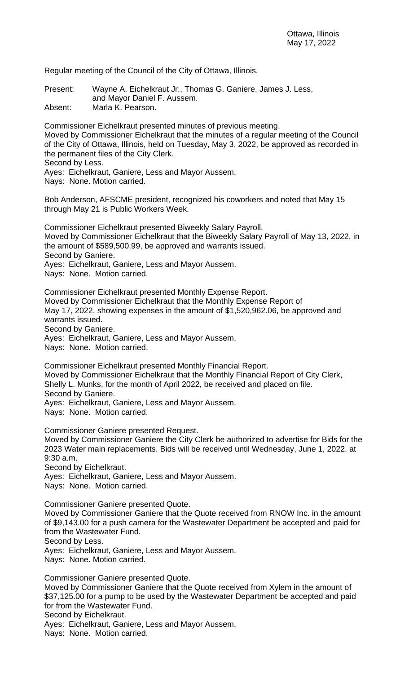Regular meeting of the Council of the City of Ottawa, Illinois.

Present: Wayne A. Eichelkraut Jr., Thomas G. Ganiere, James J. Less, and Mayor Daniel F. Aussem.

Absent: Marla K. Pearson.

Commissioner Eichelkraut presented minutes of previous meeting. Moved by Commissioner Eichelkraut that the minutes of a regular meeting of the Council of the City of Ottawa, Illinois, held on Tuesday, May 3, 2022, be approved as recorded in the permanent files of the City Clerk.

Second by Less.

Ayes: Eichelkraut, Ganiere, Less and Mayor Aussem.

Nays: None. Motion carried.

Bob Anderson, AFSCME president, recognized his coworkers and noted that May 15 through May 21 is Public Workers Week.

Commissioner Eichelkraut presented Biweekly Salary Payroll. Moved by Commissioner Eichelkraut that the Biweekly Salary Payroll of May 13, 2022, in the amount of \$589,500.99, be approved and warrants issued. Second by Ganiere. Ayes: Eichelkraut, Ganiere, Less and Mayor Aussem.

Nays: None. Motion carried.

Commissioner Eichelkraut presented Monthly Expense Report. Moved by Commissioner Eichelkraut that the Monthly Expense Report of May 17, 2022, showing expenses in the amount of \$1,520,962.06, be approved and warrants issued. Second by Ganiere. Ayes: Eichelkraut, Ganiere, Less and Mayor Aussem.

Nays: None. Motion carried.

Commissioner Eichelkraut presented Monthly Financial Report. Moved by Commissioner Eichelkraut that the Monthly Financial Report of City Clerk, Shelly L. Munks, for the month of April 2022, be received and placed on file. Second by Ganiere.

Ayes: Eichelkraut, Ganiere, Less and Mayor Aussem.

Nays: None. Motion carried.

Commissioner Ganiere presented Request.

Moved by Commissioner Ganiere the City Clerk be authorized to advertise for Bids for the 2023 Water main replacements. Bids will be received until Wednesday, June 1, 2022, at 9:30 a.m.

Second by Eichelkraut.

Ayes: Eichelkraut, Ganiere, Less and Mayor Aussem.

Nays: None. Motion carried.

Commissioner Ganiere presented Quote.

Moved by Commissioner Ganiere that the Quote received from RNOW Inc. in the amount of \$9,143.00 for a push camera for the Wastewater Department be accepted and paid for from the Wastewater Fund.

Second by Less.

Ayes: Eichelkraut, Ganiere, Less and Mayor Aussem.

Nays: None. Motion carried.

Commissioner Ganiere presented Quote.

Moved by Commissioner Ganiere that the Quote received from Xylem in the amount of \$37,125.00 for a pump to be used by the Wastewater Department be accepted and paid for from the Wastewater Fund.

Second by Eichelkraut.

Ayes: Eichelkraut, Ganiere, Less and Mayor Aussem.

Nays: None. Motion carried.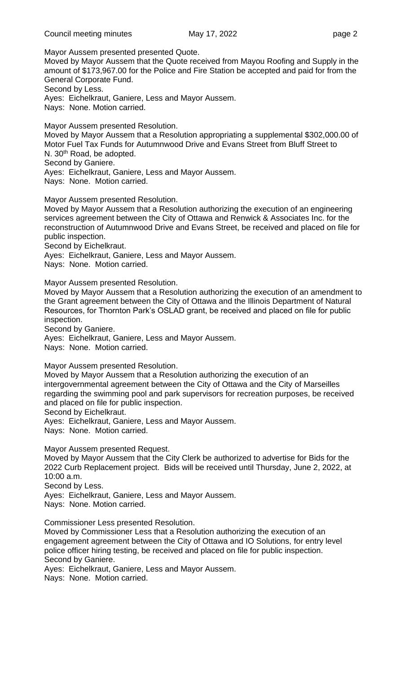Mayor Aussem presented presented Quote.

Moved by Mayor Aussem that the Quote received from Mayou Roofing and Supply in the amount of \$173,967.00 for the Police and Fire Station be accepted and paid for from the General Corporate Fund.

Second by Less.

Ayes: Eichelkraut, Ganiere, Less and Mayor Aussem.

Nays: None. Motion carried.

Mayor Aussem presented Resolution.

Moved by Mayor Aussem that a Resolution appropriating a supplemental \$302,000.00 of Motor Fuel Tax Funds for Autumnwood Drive and Evans Street from Bluff Street to N. 30<sup>th</sup> Road, be adopted. Second by Ganiere.

Ayes: Eichelkraut, Ganiere, Less and Mayor Aussem.

Nays: None. Motion carried.

Mayor Aussem presented Resolution.

Moved by Mayor Aussem that a Resolution authorizing the execution of an engineering services agreement between the City of Ottawa and Renwick & Associates Inc. for the reconstruction of Autumnwood Drive and Evans Street, be received and placed on file for public inspection.

Second by Eichelkraut.

Ayes: Eichelkraut, Ganiere, Less and Mayor Aussem.

Nays: None. Motion carried.

Mayor Aussem presented Resolution.

Moved by Mayor Aussem that a Resolution authorizing the execution of an amendment to the Grant agreement between the City of Ottawa and the Illinois Department of Natural Resources, for Thornton Park's OSLAD grant, be received and placed on file for public inspection.

Second by Ganiere.

Ayes: Eichelkraut, Ganiere, Less and Mayor Aussem.

Nays: None. Motion carried.

Mayor Aussem presented Resolution.

Moved by Mayor Aussem that a Resolution authorizing the execution of an intergovernmental agreement between the City of Ottawa and the City of Marseilles regarding the swimming pool and park supervisors for recreation purposes, be received and placed on file for public inspection.

Second by Eichelkraut.

Ayes: Eichelkraut, Ganiere, Less and Mayor Aussem.

Nays: None. Motion carried.

Mayor Aussem presented Request.

Moved by Mayor Aussem that the City Clerk be authorized to advertise for Bids for the 2022 Curb Replacement project. Bids will be received until Thursday, June 2, 2022, at 10:00 a.m.

Second by Less.

Ayes: Eichelkraut, Ganiere, Less and Mayor Aussem. Nays: None. Motion carried.

Commissioner Less presented Resolution.

Moved by Commissioner Less that a Resolution authorizing the execution of an engagement agreement between the City of Ottawa and IO Solutions, for entry level police officer hiring testing, be received and placed on file for public inspection. Second by Ganiere.

Ayes: Eichelkraut, Ganiere, Less and Mayor Aussem.

Nays: None. Motion carried.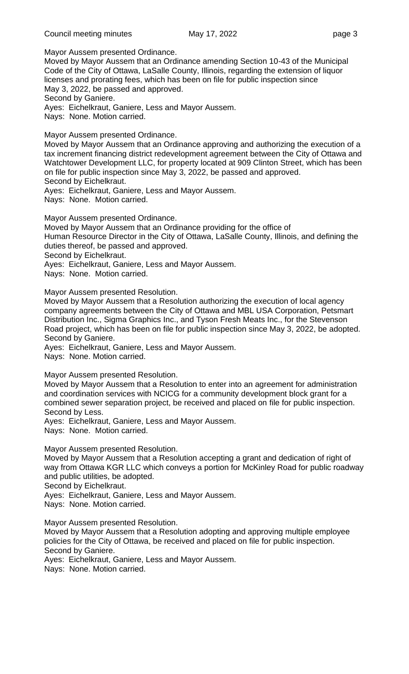Mayor Aussem presented Ordinance.

Moved by Mayor Aussem that an Ordinance amending Section 10-43 of the Municipal Code of the City of Ottawa, LaSalle County, Illinois, regarding the extension of liquor licenses and prorating fees, which has been on file for public inspection since May 3, 2022, be passed and approved.

Second by Ganiere.

Ayes: Eichelkraut, Ganiere, Less and Mayor Aussem.

Nays: None. Motion carried.

Mayor Aussem presented Ordinance.

Moved by Mayor Aussem that an Ordinance approving and authorizing the execution of a tax increment financing district redevelopment agreement between the City of Ottawa and Watchtower Development LLC, for property located at 909 Clinton Street, which has been on file for public inspection since May 3, 2022, be passed and approved.

Second by Eichelkraut.

Ayes: Eichelkraut, Ganiere, Less and Mayor Aussem.

Nays: None. Motion carried.

Mayor Aussem presented Ordinance.

Moved by Mayor Aussem that an Ordinance providing for the office of Human Resource Director in the City of Ottawa, LaSalle County, Illinois, and defining the duties thereof, be passed and approved.

Second by Eichelkraut.

Ayes: Eichelkraut, Ganiere, Less and Mayor Aussem.

Nays: None. Motion carried.

Mayor Aussem presented Resolution.

Moved by Mayor Aussem that a Resolution authorizing the execution of local agency company agreements between the City of Ottawa and MBL USA Corporation, Petsmart Distribution Inc., Sigma Graphics Inc., and Tyson Fresh Meats Inc., for the Stevenson Road project, which has been on file for public inspection since May 3, 2022, be adopted. Second by Ganiere.

Ayes: Eichelkraut, Ganiere, Less and Mayor Aussem.

Nays: None. Motion carried.

Mayor Aussem presented Resolution.

Moved by Mayor Aussem that a Resolution to enter into an agreement for administration and coordination services with NCICG for a community development block grant for a combined sewer separation project, be received and placed on file for public inspection. Second by Less.

Ayes: Eichelkraut, Ganiere, Less and Mayor Aussem.

Nays: None. Motion carried.

Mayor Aussem presented Resolution.

Moved by Mayor Aussem that a Resolution accepting a grant and dedication of right of way from Ottawa KGR LLC which conveys a portion for McKinley Road for public roadway and public utilities, be adopted.

Second by Eichelkraut.

Ayes: Eichelkraut, Ganiere, Less and Mayor Aussem.

Nays: None. Motion carried.

Mayor Aussem presented Resolution.

Moved by Mayor Aussem that a Resolution adopting and approving multiple employee policies for the City of Ottawa, be received and placed on file for public inspection. Second by Ganiere.

Ayes: Eichelkraut, Ganiere, Less and Mayor Aussem.

Nays: None. Motion carried.